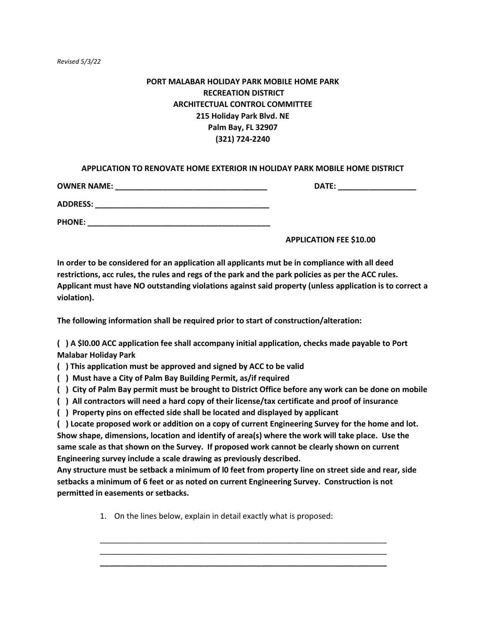# **PORT MALABAR HOLIDAY PARK MOBILE HOME PARK RECREATION DISTRICT ARCHITECTUAL CONTROL COMMITTEE 215 Holiday Park Blvd. NE Palm Bay, FL 32907 (321) 724-2240**

## **APPLICATION TO RENOVATE HOME EXTERIOR IN HOLIDAY PARK MOBILE HOME DISTRICT**

| <b>OWNER NAME:</b> | DATE: |
|--------------------|-------|
| <b>ADDRESS:</b>    |       |
| <b>PHONE:</b>      |       |

**APPLICATION FEE \$10.00** 

**In order to be considered for an application all applicants mut be in compliance with all deed restrictions, acc rules, the rules and regs of the park and the park policies as per the ACC rules. Applicant must have NO outstanding violations against said property (unless application is to correct a violation).**

**The following information shall be required prior to start of construction/alteration:**

**( ) A \$l0.00 ACC application fee shall accompany initial application, checks made payable to Port Malabar Holiday Park**

**( ) This application must be approved and signed by ACC to be valid**

**( ) Must have a City of Palm Bay Building Permit, as/if required**

**( ) City of Palm Bay permit must be brought to District Office before any work can be done on mobile**

**( ) All contractors will need a hard copy of their license/tax certificate and proof of insurance**

**( ) Property pins on effected side shall be located and displayed by applicant**

**( ) Locate proposed work or addition on a copy of current Engineering Survey for the home and lot. Show shape, dimensions, location and identify of area(s) where the work will take place. Use the same scale as that shown on the Survey. If proposed work cannot be clearly shown on current Engineering survey include a scale drawing as previously described.**

**Any structure must be setback a minimum of l0 feet from property line on street side and rear, side setbacks a minimum of 6 feet or as noted on current Engineering Survey. Construction is not permitted in easements or setbacks.**

> \_\_\_\_\_\_\_\_\_\_\_\_\_\_\_\_\_\_\_\_\_\_\_\_\_\_\_\_\_\_\_\_\_\_\_\_\_\_\_\_\_\_\_\_\_\_\_\_\_\_\_\_\_\_\_\_\_\_\_\_\_\_\_\_\_\_ \_\_\_\_\_\_\_\_\_\_\_\_\_\_\_\_\_\_\_\_\_\_\_\_\_\_\_\_\_\_\_\_\_\_\_\_\_\_\_\_\_\_\_\_\_\_\_\_\_\_\_\_\_\_\_\_\_\_\_\_\_\_\_\_\_\_ **\_\_\_\_\_\_\_\_\_\_\_\_\_\_\_\_\_\_\_\_\_\_\_\_\_\_\_\_\_\_\_\_\_\_\_\_\_\_\_\_\_\_\_\_\_\_\_\_\_\_\_\_\_\_\_\_\_\_\_\_\_\_\_\_\_\_**

1. On the lines below, explain in detail exactly what is proposed: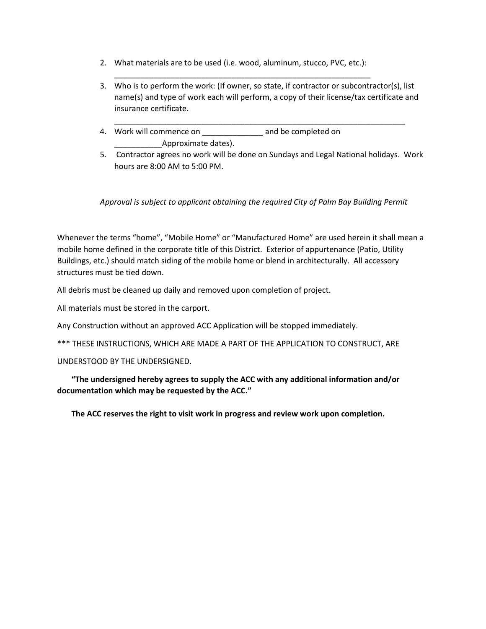2. What materials are to be used (i.e. wood, aluminum, stucco, PVC, etc.):

\_\_\_\_\_\_\_\_\_\_\_\_\_\_\_\_\_\_\_\_\_\_\_\_\_\_\_\_\_\_\_\_\_\_\_\_\_\_\_\_\_\_\_\_\_\_\_\_\_\_\_\_\_\_\_\_\_\_\_

3. Who is to perform the work: (If owner, so state, if contractor or subcontractor(s), list name(s) and type of work each will perform, a copy of their license/tax certificate and insurance certificate.

\_\_\_\_\_\_\_\_\_\_\_\_\_\_\_\_\_\_\_\_\_\_\_\_\_\_\_\_\_\_\_\_\_\_\_\_\_\_\_\_\_\_\_\_\_\_\_\_\_\_\_\_\_\_\_\_\_\_\_\_\_\_\_\_\_\_\_

- 4. Work will commence on example and be completed on \_\_\_\_\_\_\_\_\_\_\_Approximate dates).
- 5. Contractor agrees no work will be done on Sundays and Legal National holidays. Work hours are 8:00 AM to 5:00 PM.

# *Approval is subject to applicant obtaining the required City of Palm Bay Building Permit*

Whenever the terms "home", "Mobile Home" or "Manufactured Home" are used herein it shall mean a mobile home defined in the corporate title of this District. Exterior of appurtenance (Patio, Utility Buildings, etc.) should match siding of the mobile home or blend in architecturally. All accessory structures must be tied down.

All debris must be cleaned up daily and removed upon completion of project.

All materials must be stored in the carport.

Any Construction without an approved ACC Application will be stopped immediately.

\*\*\* THESE INSTRUCTIONS, WHICH ARE MADE A PART OF THE APPLICATION TO CONSTRUCT, ARE

UNDERSTOOD BY THE UNDERSIGNED.

**"The undersigned hereby agrees to supply the ACC with any additional information and/or documentation which may be requested by the ACC."**

**The ACC reserves the right to visit work in progress and review work upon completion.**